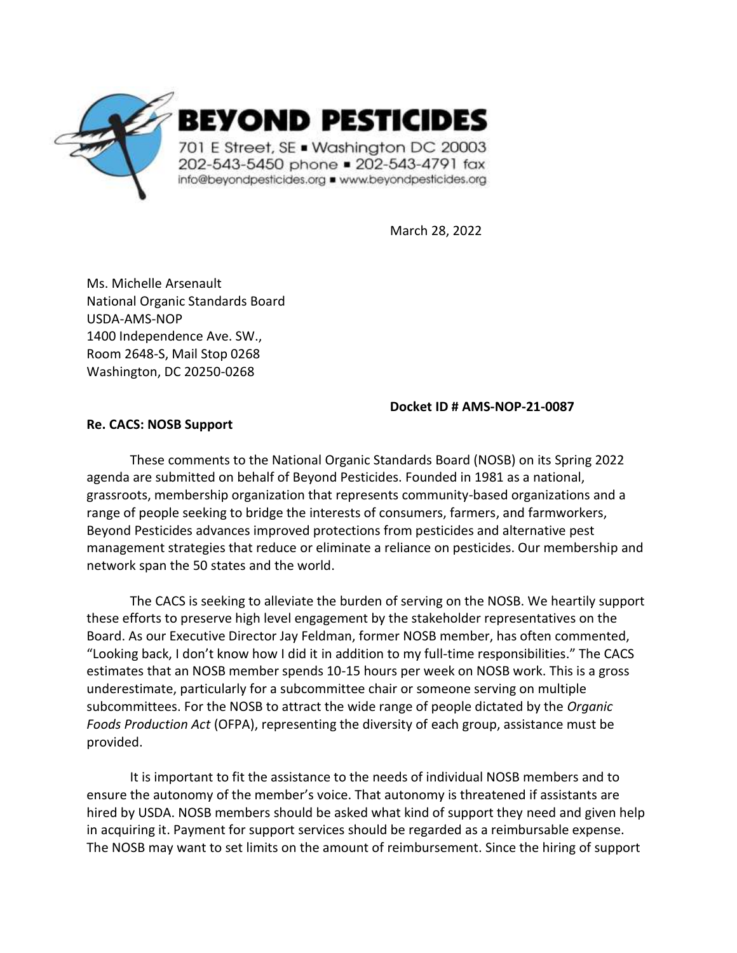

March 28, 2022

Ms. Michelle Arsenault National Organic Standards Board USDA-AMS-NOP 1400 Independence Ave. SW., Room 2648-S, Mail Stop 0268 Washington, DC 20250-0268

### **Docket ID # AMS-NOP-21-0087**

### **Re. CACS: NOSB Support**

These comments to the National Organic Standards Board (NOSB) on its Spring 2022 agenda are submitted on behalf of Beyond Pesticides. Founded in 1981 as a national, grassroots, membership organization that represents community-based organizations and a range of people seeking to bridge the interests of consumers, farmers, and farmworkers, Beyond Pesticides advances improved protections from pesticides and alternative pest management strategies that reduce or eliminate a reliance on pesticides. Our membership and network span the 50 states and the world.

The CACS is seeking to alleviate the burden of serving on the NOSB. We heartily support these efforts to preserve high level engagement by the stakeholder representatives on the Board. As our Executive Director Jay Feldman, former NOSB member, has often commented, "Looking back, I don't know how I did it in addition to my full-time responsibilities." The CACS estimates that an NOSB member spends 10-15 hours per week on NOSB work. This is a gross underestimate, particularly for a subcommittee chair or someone serving on multiple subcommittees. For the NOSB to attract the wide range of people dictated by the *Organic Foods Production Act* (OFPA), representing the diversity of each group, assistance must be provided.

It is important to fit the assistance to the needs of individual NOSB members and to ensure the autonomy of the member's voice. That autonomy is threatened if assistants are hired by USDA. NOSB members should be asked what kind of support they need and given help in acquiring it. Payment for support services should be regarded as a reimbursable expense. The NOSB may want to set limits on the amount of reimbursement. Since the hiring of support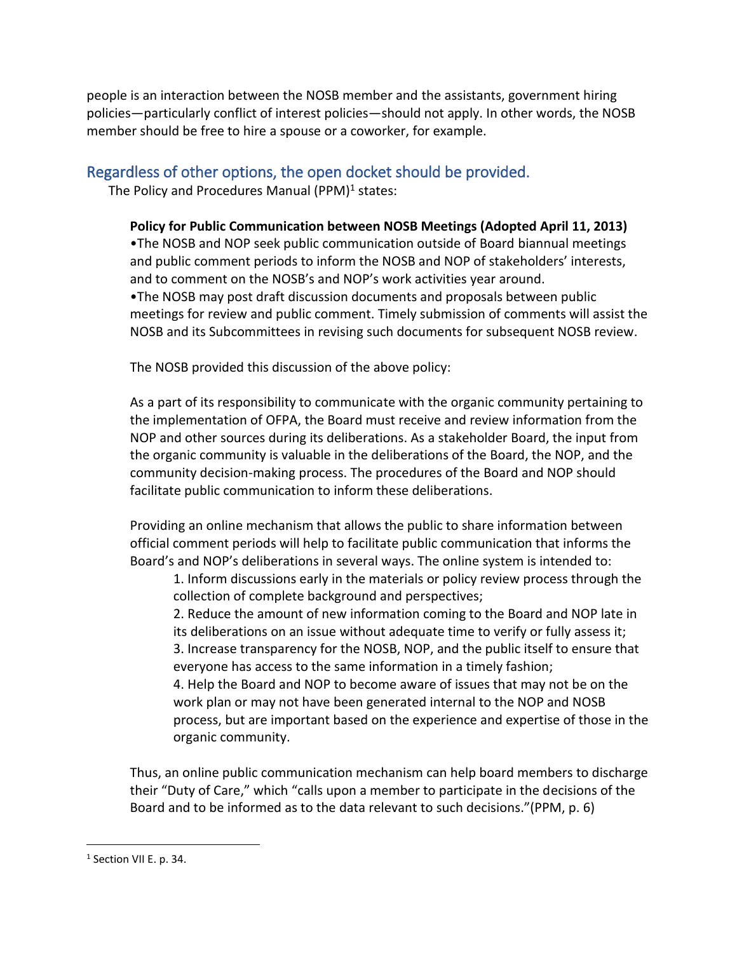people is an interaction between the NOSB member and the assistants, government hiring policies—particularly conflict of interest policies—should not apply. In other words, the NOSB member should be free to hire a spouse or a coworker, for example.

## Regardless of other options, the open docket should be provided.

The Policy and Procedures Manual (PPM)<sup>1</sup> states:

**Policy for Public Communication between NOSB Meetings (Adopted April 11, 2013)** •The NOSB and NOP seek public communication outside of Board biannual meetings and public comment periods to inform the NOSB and NOP of stakeholders' interests, and to comment on the NOSB's and NOP's work activities year around. •The NOSB may post draft discussion documents and proposals between public meetings for review and public comment. Timely submission of comments will assist the NOSB and its Subcommittees in revising such documents for subsequent NOSB review.

The NOSB provided this discussion of the above policy:

As a part of its responsibility to communicate with the organic community pertaining to the implementation of OFPA, the Board must receive and review information from the NOP and other sources during its deliberations. As a stakeholder Board, the input from the organic community is valuable in the deliberations of the Board, the NOP, and the community decision-making process. The procedures of the Board and NOP should facilitate public communication to inform these deliberations.

Providing an online mechanism that allows the public to share information between official comment periods will help to facilitate public communication that informs the Board's and NOP's deliberations in several ways. The online system is intended to:

1. Inform discussions early in the materials or policy review process through the collection of complete background and perspectives;

2. Reduce the amount of new information coming to the Board and NOP late in its deliberations on an issue without adequate time to verify or fully assess it; 3. Increase transparency for the NOSB, NOP, and the public itself to ensure that everyone has access to the same information in a timely fashion;

4. Help the Board and NOP to become aware of issues that may not be on the work plan or may not have been generated internal to the NOP and NOSB process, but are important based on the experience and expertise of those in the organic community.

Thus, an online public communication mechanism can help board members to discharge their "Duty of Care," which "calls upon a member to participate in the decisions of the Board and to be informed as to the data relevant to such decisions."(PPM, p. 6)

<sup>&</sup>lt;sup>1</sup> Section VII E. p. 34.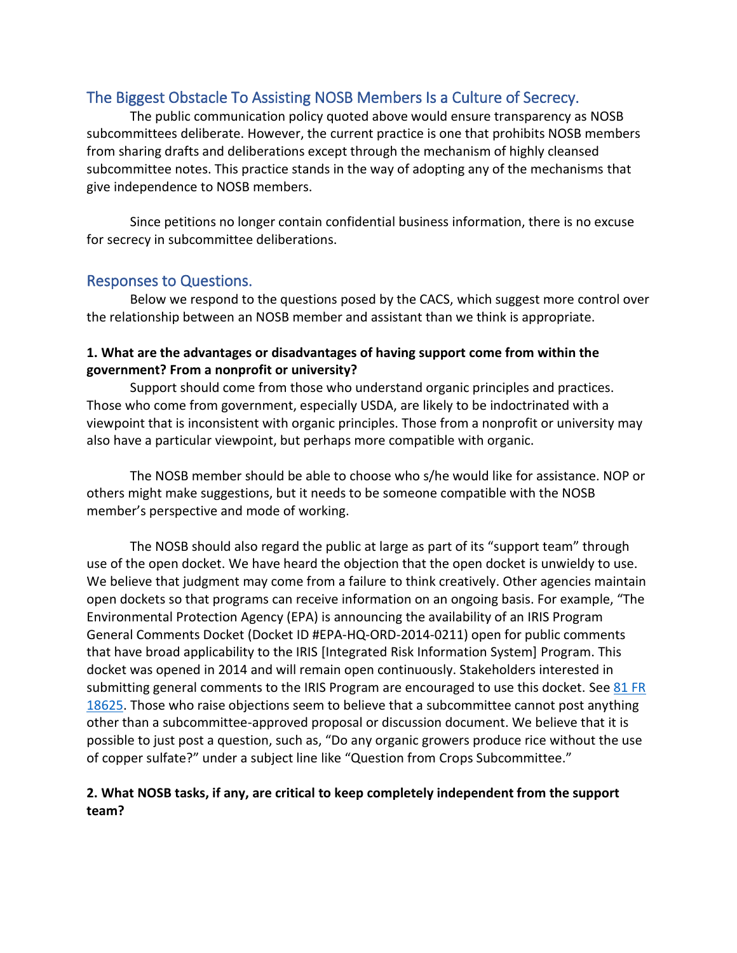# The Biggest Obstacle To Assisting NOSB Members Is a Culture of Secrecy.

The public communication policy quoted above would ensure transparency as NOSB subcommittees deliberate. However, the current practice is one that prohibits NOSB members from sharing drafts and deliberations except through the mechanism of highly cleansed subcommittee notes. This practice stands in the way of adopting any of the mechanisms that give independence to NOSB members.

Since petitions no longer contain confidential business information, there is no excuse for secrecy in subcommittee deliberations.

## Responses to Questions.

Below we respond to the questions posed by the CACS, which suggest more control over the relationship between an NOSB member and assistant than we think is appropriate.

## **1. What are the advantages or disadvantages of having support come from within the government? From a nonprofit or university?**

Support should come from those who understand organic principles and practices. Those who come from government, especially USDA, are likely to be indoctrinated with a viewpoint that is inconsistent with organic principles. Those from a nonprofit or university may also have a particular viewpoint, but perhaps more compatible with organic.

The NOSB member should be able to choose who s/he would like for assistance. NOP or others might make suggestions, but it needs to be someone compatible with the NOSB member's perspective and mode of working.

The NOSB should also regard the public at large as part of its "support team" through use of the open docket. We have heard the objection that the open docket is unwieldy to use. We believe that judgment may come from a failure to think creatively. Other agencies maintain open dockets so that programs can receive information on an ongoing basis. For example, "The Environmental Protection Agency (EPA) is announcing the availability of an IRIS Program General Comments Docket (Docket ID #EPA-HQ-ORD-2014-0211) open for public comments that have broad applicability to the IRIS [Integrated Risk Information System] Program. This docket was opened in 2014 and will remain open continuously. Stakeholders interested in submitting general comments to the IRIS Program are encouraged to use this docket. See 81 FR [18625.](https://www.federalregister.gov/documents/2016/03/31/2016-07181/announcement-on-the-availability-of-the-iris-program-general-comments-docket-announcement-of-the) Those who raise objections seem to believe that a subcommittee cannot post anything other than a subcommittee-approved proposal or discussion document. We believe that it is possible to just post a question, such as, "Do any organic growers produce rice without the use of copper sulfate?" under a subject line like "Question from Crops Subcommittee."

### **2. What NOSB tasks, if any, are critical to keep completely independent from the support team?**